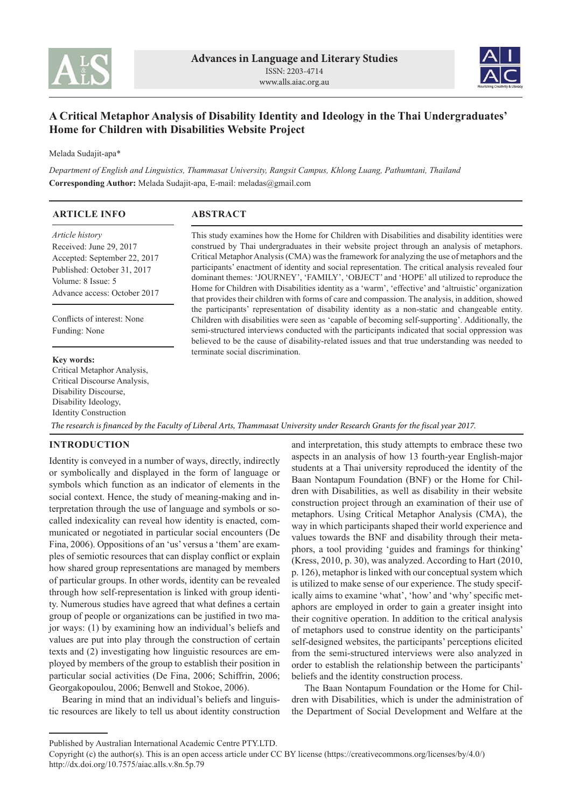



# **A Critical Metaphor Analysis of Disability Identity and Ideology in the Thai Undergraduates' Home for Children with Disabilities Website Project**

Melada Sudajit-apa\*

*Department of English and Linguistics, Thammasat University, Rangsit Campus, Khlong Luang, Pathumtani, Thailand* **Corresponding Author:** Melada Sudajit-apa, E-mail: meladas@gmail.com

| <b>ARTICLE INFO</b>                                                                                                                                                    | ABSTRACT                                                                                                                                                                                                                                                                                                                                                                                                                                                                                                                                                                                                                                                                                                                                                                                                                                                                                                                                                                                                                                                                                                                |  |  |
|------------------------------------------------------------------------------------------------------------------------------------------------------------------------|-------------------------------------------------------------------------------------------------------------------------------------------------------------------------------------------------------------------------------------------------------------------------------------------------------------------------------------------------------------------------------------------------------------------------------------------------------------------------------------------------------------------------------------------------------------------------------------------------------------------------------------------------------------------------------------------------------------------------------------------------------------------------------------------------------------------------------------------------------------------------------------------------------------------------------------------------------------------------------------------------------------------------------------------------------------------------------------------------------------------------|--|--|
| <i>Article history</i><br>Received: June 29, 2017<br>Accepted: September 22, 2017<br>Published: October 31, 2017<br>Volume: 8 Issue: 5<br>Advance access: October 2017 | This study examines how the Home for Children with Disabilities and disability identities were<br>construed by Thai undergraduates in their website project through an analysis of metaphors.<br>Critical Metaphor Analysis (CMA) was the framework for analyzing the use of metaphors and the<br>participants' enactment of identity and social representation. The critical analysis revealed four<br>dominant themes: 'JOURNEY', 'FAMILY', 'OBJECT' and 'HOPE' all utilized to reproduce the<br>Home for Children with Disabilities identity as a 'warm', 'effective' and 'altruistic' organization<br>that provides their children with forms of care and compassion. The analysis, in addition, showed<br>the participants' representation of disability identity as a non-static and changeable entity.<br>Children with disabilities were seen as 'capable of becoming self-supporting'. Additionally, the<br>semi-structured interviews conducted with the participants indicated that social oppression was<br>believed to be the cause of disability-related issues and that true understanding was needed to |  |  |
| Conflicts of interest: None<br>Funding: None                                                                                                                           |                                                                                                                                                                                                                                                                                                                                                                                                                                                                                                                                                                                                                                                                                                                                                                                                                                                                                                                                                                                                                                                                                                                         |  |  |
| <b>Key words:</b><br>Critical Metaphor Analysis,<br>Critical Discourse Analysis,<br>Disability Discourse,<br>Disability Ideology,                                      | terminate social discrimination.                                                                                                                                                                                                                                                                                                                                                                                                                                                                                                                                                                                                                                                                                                                                                                                                                                                                                                                                                                                                                                                                                        |  |  |

*The research is financed by the Faculty of Liberal Arts, Thammasat University under Research Grants for the fiscal year 2017.*

# **INTRODUCTION**

Identity Construction

Identity is conveyed in a number of ways, directly, indirectly or symbolically and displayed in the form of language or symbols which function as an indicator of elements in the social context. Hence, the study of meaning-making and interpretation through the use of language and symbols or socalled indexicality can reveal how identity is enacted, communicated or negotiated in particular social encounters (De Fina, 2006). Oppositions of an 'us' versus a 'them' are examples of semiotic resources that can display conflict or explain how shared group representations are managed by members of particular groups. In other words, identity can be revealed through how self-representation is linked with group identity. Numerous studies have agreed that what defines a certain group of people or organizations can be justified in two major ways: (1) by examining how an individual's beliefs and values are put into play through the construction of certain texts and (2) investigating how linguistic resources are employed by members of the group to establish their position in particular social activities (De Fina, 2006; Schiffrin, 2006; Georgakopoulou, 2006; Benwell and Stokoe, 2006).

Bearing in mind that an individual's beliefs and linguistic resources are likely to tell us about identity construction and interpretation, this study attempts to embrace these two aspects in an analysis of how 13 fourth-year English-major students at a Thai university reproduced the identity of the Baan Nontapum Foundation (BNF) or the Home for Children with Disabilities, as well as disability in their website construction project through an examination of their use of metaphors. Using Critical Metaphor Analysis (CMA), the way in which participants shaped their world experience and values towards the BNF and disability through their metaphors, a tool providing 'guides and framings for thinking' (Kress, 2010, p. 30), was analyzed. According to Hart (2010, p. 126), metaphor is linked with our conceptual system which is utilized to make sense of our experience. The study specifically aims to examine 'what', 'how' and 'why' specific metaphors are employed in order to gain a greater insight into their cognitive operation. In addition to the critical analysis of metaphors used to construe identity on the participants' self-designed websites, the participants' perceptions elicited from the semi-structured interviews were also analyzed in order to establish the relationship between the participants' beliefs and the identity construction process.

The Baan Nontapum Foundation or the Home for Children with Disabilities, which is under the administration of the Department of Social Development and Welfare at the

Published by Australian International Academic Centre PTY.LTD.

Copyright (c) the author(s). This is an open access article under CC BY license (https://creativecommons.org/licenses/by/4.0/) http://dx.doi.org/10.7575/aiac.alls.v.8n.5p.79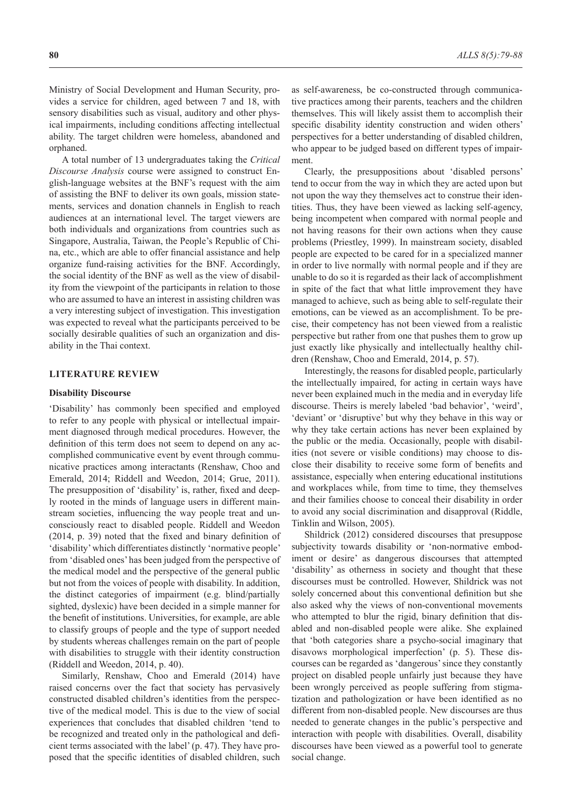Ministry of Social Development and Human Security, provides a service for children, aged between 7 and 18, with sensory disabilities such as visual, auditory and other physical impairments, including conditions affecting intellectual ability. The target children were homeless, abandoned and orphaned.

A total number of 13 undergraduates taking the *Critical Discourse Analysis* course were assigned to construct English-language websites at the BNF's request with the aim of assisting the BNF to deliver its own goals, mission statements, services and donation channels in English to reach audiences at an international level. The target viewers are both individuals and organizations from countries such as Singapore, Australia, Taiwan, the People's Republic of China, etc., which are able to offer financial assistance and help organize fund-raising activities for the BNF. Accordingly, the social identity of the BNF as well as the view of disability from the viewpoint of the participants in relation to those who are assumed to have an interest in assisting children was a very interesting subject of investigation. This investigation was expected to reveal what the participants perceived to be socially desirable qualities of such an organization and disability in the Thai context.

# **LITERATURE REVIEW**

### **Disability Discourse**

'Disability' has commonly been specified and employed to refer to any people with physical or intellectual impairment diagnosed through medical procedures. However, the definition of this term does not seem to depend on any accomplished communicative event by event through communicative practices among interactants (Renshaw, Choo and Emerald, 2014; Riddell and Weedon, 2014; Grue, 2011). The presupposition of 'disability' is, rather, fixed and deeply rooted in the minds of language users in different mainstream societies, influencing the way people treat and unconsciously react to disabled people. Riddell and Weedon (2014, p. 39) noted that the fixed and binary definition of 'disability' which differentiates distinctly 'normative people' from 'disabled ones' has been judged from the perspective of the medical model and the perspective of the general public but not from the voices of people with disability. In addition, the distinct categories of impairment (e.g. blind/partially sighted, dyslexic) have been decided in a simple manner for the benefit of institutions. Universities, for example, are able to classify groups of people and the type of support needed by students whereas challenges remain on the part of people with disabilities to struggle with their identity construction (Riddell and Weedon, 2014, p. 40).

Similarly, Renshaw, Choo and Emerald (2014) have raised concerns over the fact that society has pervasively constructed disabled children's identities from the perspective of the medical model. This is due to the view of social experiences that concludes that disabled children 'tend to be recognized and treated only in the pathological and deficient terms associated with the label' (p. 47). They have proposed that the specific identities of disabled children, such

as self-awareness, be co-constructed through communicative practices among their parents, teachers and the children themselves. This will likely assist them to accomplish their specific disability identity construction and widen others' perspectives for a better understanding of disabled children, who appear to be judged based on different types of impairment.

Clearly, the presuppositions about 'disabled persons' tend to occur from the way in which they are acted upon but not upon the way they themselves act to construe their identities. Thus, they have been viewed as lacking self-agency, being incompetent when compared with normal people and not having reasons for their own actions when they cause problems (Priestley, 1999). In mainstream society, disabled people are expected to be cared for in a specialized manner in order to live normally with normal people and if they are unable to do so it is regarded as their lack of accomplishment in spite of the fact that what little improvement they have managed to achieve, such as being able to self-regulate their emotions, can be viewed as an accomplishment. To be precise, their competency has not been viewed from a realistic perspective but rather from one that pushes them to grow up just exactly like physically and intellectually healthy children (Renshaw, Choo and Emerald, 2014, p. 57).

Interestingly, the reasons for disabled people, particularly the intellectually impaired, for acting in certain ways have never been explained much in the media and in everyday life discourse. Theirs is merely labeled 'bad behavior', 'weird', 'deviant' or 'disruptive' but why they behave in this way or why they take certain actions has never been explained by the public or the media. Occasionally, people with disabilities (not severe or visible conditions) may choose to disclose their disability to receive some form of benefits and assistance, especially when entering educational institutions and workplaces while, from time to time, they themselves and their families choose to conceal their disability in order to avoid any social discrimination and disapproval (Riddle, Tinklin and Wilson, 2005).

Shildrick (2012) considered discourses that presuppose subjectivity towards disability or 'non-normative embodiment or desire' as dangerous discourses that attempted 'disability' as otherness in society and thought that these discourses must be controlled. However, Shildrick was not solely concerned about this conventional definition but she also asked why the views of non-conventional movements who attempted to blur the rigid, binary definition that disabled and non-disabled people were alike. She explained that 'both categories share a psycho-social imaginary that disavows morphological imperfection' (p. 5). These discourses can be regarded as 'dangerous' since they constantly project on disabled people unfairly just because they have been wrongly perceived as people suffering from stigmatization and pathologization or have been identified as no different from non-disabled people. New discourses are thus needed to generate changes in the public's perspective and interaction with people with disabilities. Overall, disability discourses have been viewed as a powerful tool to generate social change.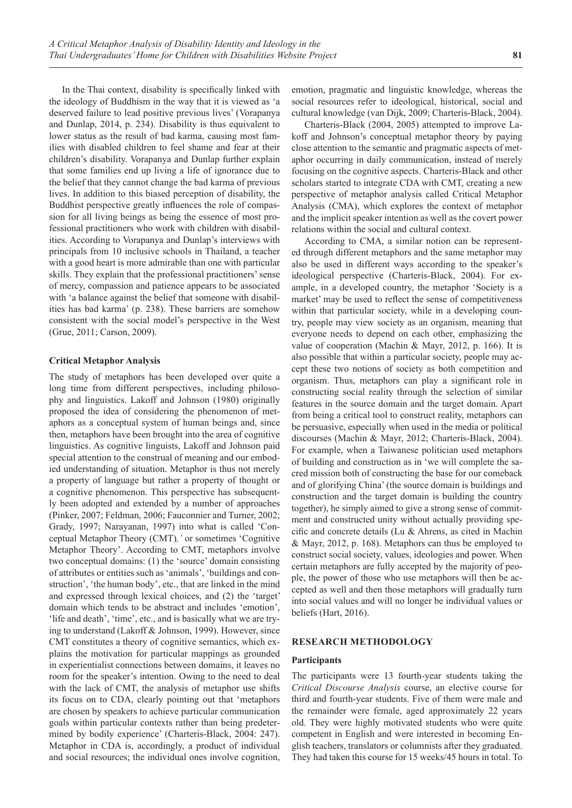In the Thai context, disability is specifically linked with the ideology of Buddhism in the way that it is viewed as 'a deserved failure to lead positive previous lives' (Vorapanya and Dunlap, 2014, p. 234). Disability is thus equivalent to lower status as the result of bad karma, causing most families with disabled children to feel shame and fear at their children's disability. Vorapanya and Dunlap further explain that some families end up living a life of ignorance due to the belief that they cannot change the bad karma of previous lives. In addition to this biased perception of disability, the Buddhist perspective greatly influences the role of compassion for all living beings as being the essence of most professional practitioners who work with children with disabilities. According to Vorapanya and Dunlap's interviews with principals from 10 inclusive schools in Thailand, a teacher with a good heart is more admirable than one with particular skills. They explain that the professional practitioners' sense of mercy, compassion and patience appears to be associated with 'a balance against the belief that someone with disabilities has bad karma' (p. 238). These barriers are somehow consistent with the social model's perspective in the West (Grue, 2011; Carson, 2009).

# **Critical Metaphor Analysis**

The study of metaphors has been developed over quite a long time from different perspectives, including philosophy and linguistics. Lakoff and Johnson (1980) originally proposed the idea of considering the phenomenon of metaphors as a conceptual system of human beings and, since then, metaphors have been brought into the area of cognitive linguistics. As cognitive linguists, Lakoff and Johnson paid special attention to the construal of meaning and our embodied understanding of situation. Metaphor is thus not merely a property of language but rather a property of thought or a cognitive phenomenon. This perspective has subsequently been adopted and extended by a number of approaches (Pinker, 2007; Feldman, 2006; Fauconnier and Turner, 2002; Grady, 1997; Narayanan, 1997) into what is called 'Conceptual Metaphor Theory (CMT)*,'* or sometimes 'Cognitive Metaphor Theory'. According to CMT, metaphors involve two conceptual domains: (1) the 'source' domain consisting of attributes or entities such as 'animals', 'buildings and construction', 'the human body', etc., that are linked in the mind and expressed through lexical choices, and (2) the 'target' domain which tends to be abstract and includes 'emotion', 'life and death', 'time', etc., and is basically what we are trying to understand (Lakoff & Johnson, 1999). However, since CMT constitutes a theory of cognitive semantics, which explains the motivation for particular mappings as grounded in experientialist connections between domains, it leaves no room for the speaker's intention. Owing to the need to deal with the lack of CMT, the analysis of metaphor use shifts its focus on to CDA, clearly pointing out that 'metaphors are chosen by speakers to achieve particular communication goals within particular contexts rather than being predetermined by bodily experience' (Charteris-Black, 2004: 247). Metaphor in CDA is, accordingly, a product of individual and social resources; the individual ones involve cognition, emotion, pragmatic and linguistic knowledge, whereas the social resources refer to ideological, historical, social and cultural knowledge (van Dijk, 2009; Charteris-Black, 2004).

Charteris-Black (2004, 2005) attempted to improve Lakoff and Johnson's conceptual metaphor theory by paying close attention to the semantic and pragmatic aspects of metaphor occurring in daily communication, instead of merely focusing on the cognitive aspects. Charteris-Black and other scholars started to integrate CDA with CMT, creating a new perspective of metaphor analysis called Critical Metaphor Analysis (CMA), which explores the context of metaphor and the implicit speaker intention as well as the covert power relations within the social and cultural context.

According to CMA, a similar notion can be represented through different metaphors and the same metaphor may also be used in different ways according to the speaker's ideological perspective (Charteris-Black, 2004). For example, in a developed country, the metaphor 'Society is a market' may be used to reflect the sense of competitiveness within that particular society, while in a developing country, people may view society as an organism, meaning that everyone needs to depend on each other, emphasizing the value of cooperation (Machin & Mayr, 2012, p. 166). It is also possible that within a particular society, people may accept these two notions of society as both competition and organism. Thus, metaphors can play a significant role in constructing social reality through the selection of similar features in the source domain and the target domain. Apart from being a critical tool to construct reality, metaphors can be persuasive, especially when used in the media or political discourses (Machin & Mayr, 2012; Charteris-Black, 2004). For example, when a Taiwanese politician used metaphors of building and construction as in 'we will complete the sacred mission both of constructing the base for our comeback and of glorifying China' (the source domain is buildings and construction and the target domain is building the country together), he simply aimed to give a strong sense of commitment and constructed unity without actually providing specific and concrete details (Lu & Ahrens, as cited in Machin & Mayr, 2012, p. 168). Metaphors can thus be employed to construct social society, values, ideologies and power. When certain metaphors are fully accepted by the majority of people, the power of those who use metaphors will then be accepted as well and then those metaphors will gradually turn into social values and will no longer be individual values or beliefs (Hart, 2016).

#### **RESEARCH METHODOLOGY**

### **Participants**

The participants were 13 fourth-year students taking the *Critical Discourse Analysis* course, an elective course for third and fourth-year students. Five of them were male and the remainder were female, aged approximately 22 years old. They were highly motivated students who were quite competent in English and were interested in becoming English teachers, translators or columnists after they graduated. They had taken this course for 15 weeks/45 hours in total. To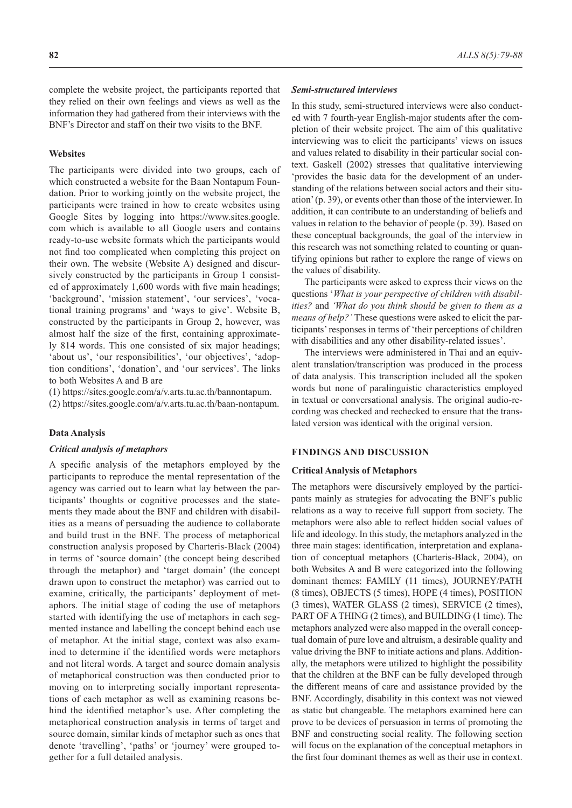complete the website project, the participants reported that they relied on their own feelings and views as well as the information they had gathered from their interviews with the BNF's Director and staff on their two visits to the BNF.

## **Websites**

The participants were divided into two groups, each of which constructed a website for the Baan Nontapum Foundation. Prior to working jointly on the website project, the participants were trained in how to create websites using Google Sites by logging into https://www.sites.google. com which is available to all Google users and contains ready-to-use website formats which the participants would not find too complicated when completing this project on their own. The website (Website A) designed and discursively constructed by the participants in Group 1 consisted of approximately 1,600 words with five main headings; 'background', 'mission statement', 'our services', 'vocational training programs' and 'ways to give'. Website B, constructed by the participants in Group 2, however, was almost half the size of the first, containing approximately 814 words. This one consisted of six major headings; 'about us', 'our responsibilities', 'our objectives', 'adoption conditions', 'donation', and 'our services'. The links to both Websites A and B are

(1) https://sites.google.com/a/v.arts.tu.ac.th/bannontapum.

(2) https://sites.google.com/a/v.arts.tu.ac.th/baan-nontapum.

#### **Data Analysis**

#### *Critical analysis of metaphors*

A specific analysis of the metaphors employed by the participants to reproduce the mental representation of the agency was carried out to learn what lay between the participants' thoughts or cognitive processes and the statements they made about the BNF and children with disabilities as a means of persuading the audience to collaborate and build trust in the BNF. The process of metaphorical construction analysis proposed by Charteris-Black (2004) in terms of 'source domain' (the concept being described through the metaphor) and 'target domain' (the concept drawn upon to construct the metaphor) was carried out to examine, critically, the participants' deployment of metaphors. The initial stage of coding the use of metaphors started with identifying the use of metaphors in each segmented instance and labelling the concept behind each use of metaphor. At the initial stage, context was also examined to determine if the identified words were metaphors and not literal words. A target and source domain analysis of metaphorical construction was then conducted prior to moving on to interpreting socially important representations of each metaphor as well as examining reasons behind the identified metaphor's use. After completing the metaphorical construction analysis in terms of target and source domain, similar kinds of metaphor such as ones that denote 'travelling', 'paths' or 'journey' were grouped together for a full detailed analysis.

#### *Semi-structured interviews*

In this study, semi-structured interviews were also conducted with 7 fourth-year English-major students after the completion of their website project. The aim of this qualitative interviewing was to elicit the participants' views on issues and values related to disability in their particular social context. Gaskell (2002) stresses that qualitative interviewing 'provides the basic data for the development of an understanding of the relations between social actors and their situation' (p. 39), or events other than those of the interviewer. In addition, it can contribute to an understanding of beliefs and values in relation to the behavior of people (p. 39). Based on these conceptual backgrounds, the goal of the interview in this research was not something related to counting or quantifying opinions but rather to explore the range of views on the values of disability.

The participants were asked to express their views on the questions '*What is your perspective of children with disabilities?* and *'What do you think should be given to them as a means of help?'* These questions were asked to elicit the participants' responses in terms of 'their perceptions of children with disabilities and any other disability-related issues'.

The interviews were administered in Thai and an equivalent translation/transcription was produced in the process of data analysis. This transcription included all the spoken words but none of paralinguistic characteristics employed in textual or conversational analysis. The original audio-recording was checked and rechecked to ensure that the translated version was identical with the original version.

#### **FINDINGS AND DISCUSSION**

# **Critical Analysis of Metaphors**

The metaphors were discursively employed by the participants mainly as strategies for advocating the BNF's public relations as a way to receive full support from society. The metaphors were also able to reflect hidden social values of life and ideology. In this study, the metaphors analyzed in the three main stages: identification, interpretation and explanation of conceptual metaphors (Charteris-Black, 2004), on both Websites A and B were categorized into the following dominant themes: FAMILY (11 times), JOURNEY/PATH (8 times), OBJECTS (5 times), HOPE (4 times), POSITION (3 times), WATER GLASS (2 times), SERVICE (2 times), PART OF A THING (2 times), and BUILDING (1 time). The metaphors analyzed were also mapped in the overall conceptual domain of pure love and altruism, a desirable quality and value driving the BNF to initiate actions and plans. Additionally, the metaphors were utilized to highlight the possibility that the children at the BNF can be fully developed through the different means of care and assistance provided by the BNF. Accordingly, disability in this context was not viewed as static but changeable. The metaphors examined here can prove to be devices of persuasion in terms of promoting the BNF and constructing social reality. The following section will focus on the explanation of the conceptual metaphors in the first four dominant themes as well as their use in context.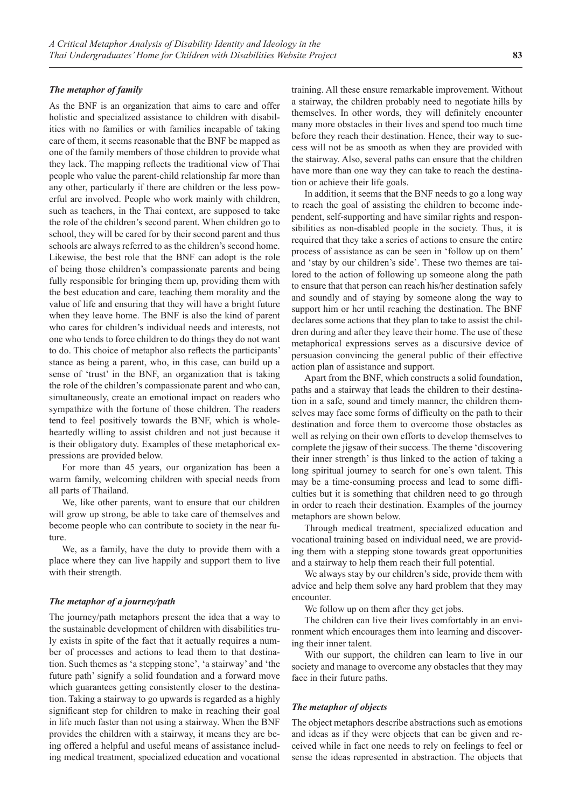# *The metaphor of family*

As the BNF is an organization that aims to care and offer holistic and specialized assistance to children with disabilities with no families or with families incapable of taking care of them, it seems reasonable that the BNF be mapped as one of the family members of those children to provide what they lack. The mapping reflects the traditional view of Thai people who value the parent-child relationship far more than any other, particularly if there are children or the less powerful are involved. People who work mainly with children, such as teachers, in the Thai context, are supposed to take the role of the children's second parent. When children go to school, they will be cared for by their second parent and thus schools are always referred to as the children's second home. Likewise, the best role that the BNF can adopt is the role of being those children's compassionate parents and being fully responsible for bringing them up, providing them with the best education and care, teaching them morality and the value of life and ensuring that they will have a bright future when they leave home. The BNF is also the kind of parent who cares for children's individual needs and interests, not one who tends to force children to do things they do not want to do. This choice of metaphor also reflects the participants' stance as being a parent, who, in this case, can build up a sense of 'trust' in the BNF, an organization that is taking the role of the children's compassionate parent and who can, simultaneously, create an emotional impact on readers who sympathize with the fortune of those children. The readers tend to feel positively towards the BNF, which is wholeheartedly willing to assist children and not just because it is their obligatory duty. Examples of these metaphorical expressions are provided below.

For more than 45 years, our organization has been a warm family, welcoming children with special needs from all parts of Thailand.

We, like other parents, want to ensure that our children will grow up strong, be able to take care of themselves and become people who can contribute to society in the near future.

We, as a family, have the duty to provide them with a place where they can live happily and support them to live with their strength.

### *The metaphor of a journey/path*

The journey/path metaphors present the idea that a way to the sustainable development of children with disabilities truly exists in spite of the fact that it actually requires a number of processes and actions to lead them to that destination. Such themes as 'a stepping stone', 'a stairway' and 'the future path' signify a solid foundation and a forward move which guarantees getting consistently closer to the destination. Taking a stairway to go upwards is regarded as a highly significant step for children to make in reaching their goal in life much faster than not using a stairway. When the BNF provides the children with a stairway, it means they are being offered a helpful and useful means of assistance including medical treatment, specialized education and vocational

training. All these ensure remarkable improvement. Without a stairway, the children probably need to negotiate hills by themselves. In other words, they will definitely encounter many more obstacles in their lives and spend too much time before they reach their destination. Hence, their way to success will not be as smooth as when they are provided with the stairway. Also, several paths can ensure that the children have more than one way they can take to reach the destination or achieve their life goals.

In addition, it seems that the BNF needs to go a long way to reach the goal of assisting the children to become independent, self-supporting and have similar rights and responsibilities as non-disabled people in the society. Thus, it is required that they take a series of actions to ensure the entire process of assistance as can be seen in 'follow up on them' and 'stay by our children's side'. These two themes are tailored to the action of following up someone along the path to ensure that that person can reach his/her destination safely and soundly and of staying by someone along the way to support him or her until reaching the destination. The BNF declares some actions that they plan to take to assist the children during and after they leave their home. The use of these metaphorical expressions serves as a discursive device of persuasion convincing the general public of their effective action plan of assistance and support.

Apart from the BNF, which constructs a solid foundation, paths and a stairway that leads the children to their destination in a safe, sound and timely manner, the children themselves may face some forms of difficulty on the path to their destination and force them to overcome those obstacles as well as relying on their own efforts to develop themselves to complete the jigsaw of their success. The theme 'discovering their inner strength' is thus linked to the action of taking a long spiritual journey to search for one's own talent. This may be a time-consuming process and lead to some difficulties but it is something that children need to go through in order to reach their destination. Examples of the journey metaphors are shown below.

Through medical treatment, specialized education and vocational training based on individual need, we are providing them with a stepping stone towards great opportunities and a stairway to help them reach their full potential.

We always stay by our children's side, provide them with advice and help them solve any hard problem that they may encounter.

We follow up on them after they get jobs.

The children can live their lives comfortably in an environment which encourages them into learning and discovering their inner talent.

With our support, the children can learn to live in our society and manage to overcome any obstacles that they may face in their future paths.

#### *The metaphor of objects*

The object metaphors describe abstractions such as emotions and ideas as if they were objects that can be given and received while in fact one needs to rely on feelings to feel or sense the ideas represented in abstraction. The objects that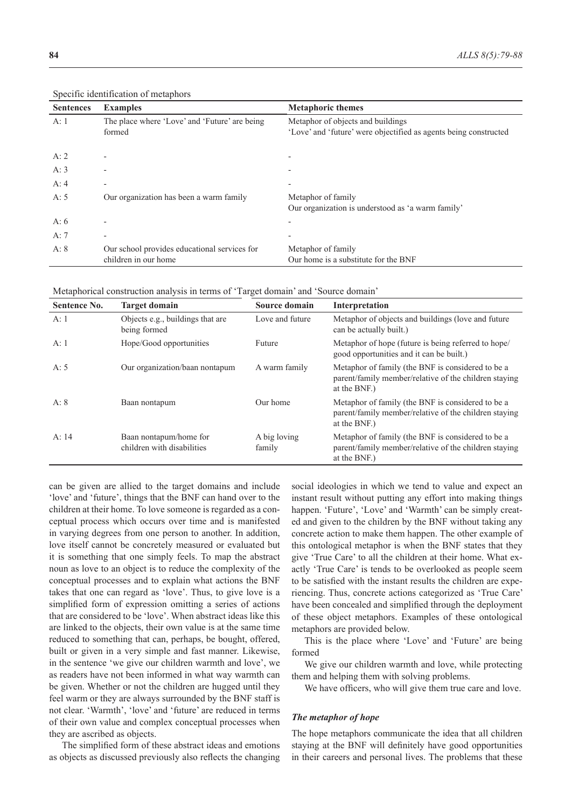| <b>Sentences</b> | <b>Examples</b>                                                      | <b>Metaphoric themes</b>                                                                              |
|------------------|----------------------------------------------------------------------|-------------------------------------------------------------------------------------------------------|
| A:1              | The place where 'Love' and 'Future' are being<br>formed              | Metaphor of objects and buildings<br>'Love' and 'future' were objectified as agents being constructed |
| A: $2$           |                                                                      |                                                                                                       |
| A: $3$           |                                                                      |                                                                                                       |
| A: $4$           | $\overline{\phantom{a}}$                                             |                                                                                                       |
| A:5              | Our organization has been a warm family                              | Metaphor of family<br>Our organization is understood as 'a warm family'                               |
| A: $6$           | $\overline{\phantom{0}}$                                             |                                                                                                       |
| A: $7$           | $\overline{\phantom{0}}$                                             |                                                                                                       |
| A: 8             | Our school provides educational services for<br>children in our home | Metaphor of family<br>Our home is a substitute for the BNF                                            |

Specific identification of metaphors

Metaphorical construction analysis in terms of 'Target domain' and 'Source domain'

| $\mathbf{r}$<br><b>Sentence No.</b> | <b>Target domain</b>                                 | Source domain          | Interpretation                                                                                                             |
|-------------------------------------|------------------------------------------------------|------------------------|----------------------------------------------------------------------------------------------------------------------------|
| A:1                                 | Objects e.g., buildings that are<br>being formed     | Love and future        | Metaphor of objects and buildings (love and future<br>can be actually built.)                                              |
| A:1                                 | Hope/Good opportunities                              | Future                 | Metaphor of hope (future is being referred to hope)<br>good opportunities and it can be built.)                            |
| A: $5$                              | Our organization/baan nontapum                       | A warm family          | Metaphor of family (the BNF is considered to be a<br>parent/family member/relative of the children staying<br>at the BNF.) |
| A: 8                                | Baan nontapum                                        | Our home               | Metaphor of family (the BNF is considered to be a<br>parent/family member/relative of the children staying<br>at the BNF.) |
| A: 14                               | Baan nontapum/home for<br>children with disabilities | A big loving<br>family | Metaphor of family (the BNF is considered to be a<br>parent/family member/relative of the children staying<br>at the BNF.) |

can be given are allied to the target domains and include 'love' and 'future', things that the BNF can hand over to the children at their home. To love someone is regarded as a conceptual process which occurs over time and is manifested in varying degrees from one person to another. In addition, love itself cannot be concretely measured or evaluated but it is something that one simply feels. To map the abstract noun as love to an object is to reduce the complexity of the conceptual processes and to explain what actions the BNF takes that one can regard as 'love'. Thus, to give love is a simplified form of expression omitting a series of actions that are considered to be 'love'. When abstract ideas like this are linked to the objects, their own value is at the same time reduced to something that can, perhaps, be bought, offered, built or given in a very simple and fast manner. Likewise, in the sentence 'we give our children warmth and love', we as readers have not been informed in what way warmth can be given. Whether or not the children are hugged until they feel warm or they are always surrounded by the BNF staff is not clear. 'Warmth', 'love' and 'future' are reduced in terms of their own value and complex conceptual processes when they are ascribed as objects.

The simplified form of these abstract ideas and emotions as objects as discussed previously also reflects the changing social ideologies in which we tend to value and expect an instant result without putting any effort into making things happen. 'Future', 'Love' and 'Warmth' can be simply created and given to the children by the BNF without taking any concrete action to make them happen. The other example of this ontological metaphor is when the BNF states that they give 'True Care' to all the children at their home. What exactly 'True Care' is tends to be overlooked as people seem to be satisfied with the instant results the children are experiencing. Thus, concrete actions categorized as 'True Care' have been concealed and simplified through the deployment of these object metaphors. Examples of these ontological metaphors are provided below.

This is the place where 'Love' and 'Future' are being formed

We give our children warmth and love, while protecting them and helping them with solving problems.

We have officers, who will give them true care and love.

### *The metaphor of hope*

The hope metaphors communicate the idea that all children staying at the BNF will definitely have good opportunities in their careers and personal lives. The problems that these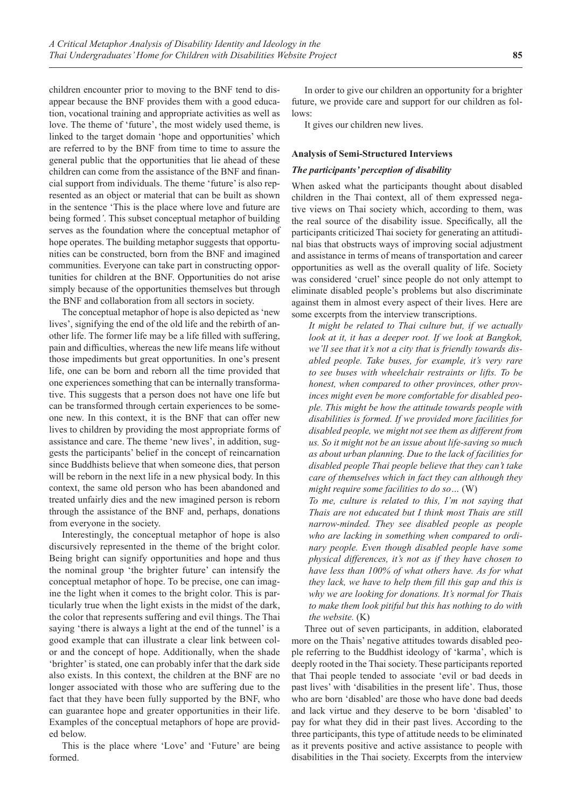children encounter prior to moving to the BNF tend to disappear because the BNF provides them with a good education, vocational training and appropriate activities as well as love. The theme of 'future', the most widely used theme, is linked to the target domain 'hope and opportunities' which are referred to by the BNF from time to time to assure the general public that the opportunities that lie ahead of these children can come from the assistance of the BNF and financial support from individuals. The theme 'future' is also represented as an object or material that can be built as shown in the sentence 'This is the place where love and future are being formed*'*. This subset conceptual metaphor of building serves as the foundation where the conceptual metaphor of hope operates. The building metaphor suggests that opportunities can be constructed, born from the BNF and imagined communities. Everyone can take part in constructing opportunities for children at the BNF. Opportunities do not arise simply because of the opportunities themselves but through the BNF and collaboration from all sectors in society.

The conceptual metaphor of hope is also depicted as 'new lives', signifying the end of the old life and the rebirth of another life. The former life may be a life filled with suffering, pain and difficulties, whereas the new life means life without those impediments but great opportunities. In one's present life, one can be born and reborn all the time provided that one experiences something that can be internally transformative. This suggests that a person does not have one life but can be transformed through certain experiences to be someone new. In this context, it is the BNF that can offer new lives to children by providing the most appropriate forms of assistance and care. The theme 'new lives', in addition, suggests the participants' belief in the concept of reincarnation since Buddhists believe that when someone dies, that person will be reborn in the next life in a new physical body. In this context, the same old person who has been abandoned and treated unfairly dies and the new imagined person is reborn through the assistance of the BNF and, perhaps, donations from everyone in the society.

Interestingly, the conceptual metaphor of hope is also discursively represented in the theme of the bright color. Being bright can signify opportunities and hope and thus the nominal group 'the brighter future' can intensify the conceptual metaphor of hope. To be precise, one can imagine the light when it comes to the bright color. This is particularly true when the light exists in the midst of the dark, the color that represents suffering and evil things. The Thai saying 'there is always a light at the end of the tunnel' is a good example that can illustrate a clear link between color and the concept of hope. Additionally, when the shade 'brighter' is stated, one can probably infer that the dark side also exists. In this context, the children at the BNF are no longer associated with those who are suffering due to the fact that they have been fully supported by the BNF, who can guarantee hope and greater opportunities in their life. Examples of the conceptual metaphors of hope are provided below.

This is the place where 'Love' and 'Future' are being formed.

In order to give our children an opportunity for a brighter future, we provide care and support for our children as follows:

It gives our children new lives.

# **Analysis of Semi-Structured Interviews**

# *The participants' perception of disability*

When asked what the participants thought about disabled children in the Thai context, all of them expressed negative views on Thai society which, according to them, was the real source of the disability issue. Specifically, all the participants criticized Thai society for generating an attitudinal bias that obstructs ways of improving social adjustment and assistance in terms of means of transportation and career opportunities as well as the overall quality of life. Society was considered 'cruel' since people do not only attempt to eliminate disabled people's problems but also discriminate against them in almost every aspect of their lives. Here are some excerpts from the interview transcriptions.

*It might be related to Thai culture but, if we actually look at it, it has a deeper root. If we look at Bangkok, we'll see that it's not a city that is friendly towards disabled people. Take buses, for example, it's very rare to see buses with wheelchair restraints or lifts. To be honest, when compared to other provinces, other provinces might even be more comfortable for disabled people. This might be how the attitude towards people with disabilities is formed. If we provided more facilities for disabled people, we might not see them as different from us. So it might not be an issue about life-saving so much as about urban planning. Due to the lack of facilities for disabled people Thai people believe that they can't take care of themselves which in fact they can although they might require some facilities to do so…* (W)

*To me, culture is related to this, I'm not saying that Thais are not educated but I think most Thais are still narrow-minded. They see disabled people as people who are lacking in something when compared to ordinary people. Even though disabled people have some physical differences, it's not as if they have chosen to have less than 100% of what others have. As for what they lack, we have to help them fill this gap and this is why we are looking for donations. It's normal for Thais to make them look pitiful but this has nothing to do with the website.* (K)

Three out of seven participants, in addition, elaborated more on the Thais' negative attitudes towards disabled people referring to the Buddhist ideology of 'karma', which is deeply rooted in the Thai society. These participants reported that Thai people tended to associate 'evil or bad deeds in past lives' with 'disabilities in the present life'. Thus, those who are born 'disabled' are those who have done bad deeds and lack virtue and they deserve to be born 'disabled' to pay for what they did in their past lives. According to the three participants, this type of attitude needs to be eliminated as it prevents positive and active assistance to people with disabilities in the Thai society. Excerpts from the interview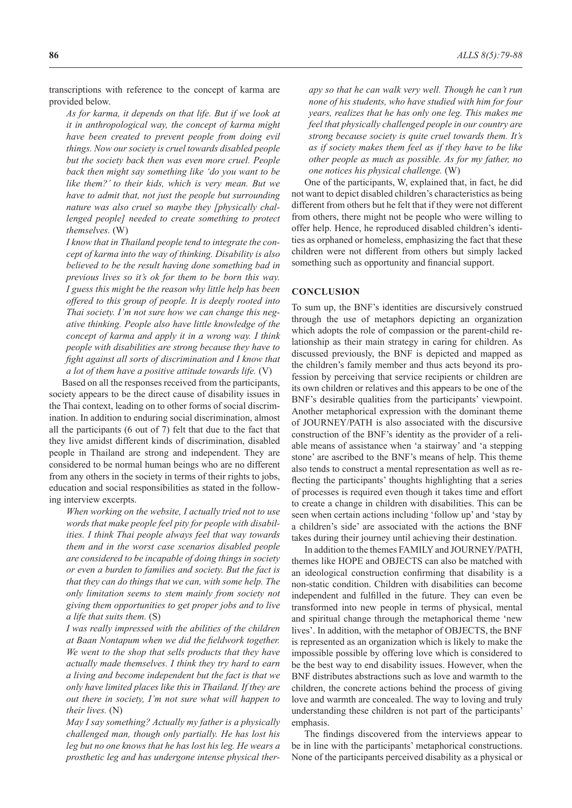*As for karma, it depends on that life. But if we look at it in anthropological way, the concept of karma might have been created to prevent people from doing evil things. Now our society is cruel towards disabled people but the society back then was even more cruel. People back then might say something like 'do you want to be like them?' to their kids, which is very mean. But we have to admit that, not just the people but surrounding nature was also cruel so maybe they [physically challenged people] needed to create something to protect themselves.* (W)

*I know that in Thailand people tend to integrate the concept of karma into the way of thinking. Disability is also believed to be the result having done something bad in previous lives so it's ok for them to be born this way. I guess this might be the reason why little help has been offered to this group of people. It is deeply rooted into Thai society. I'm not sure how we can change this negative thinking. People also have little knowledge of the concept of karma and apply it in a wrong way. I think people with disabilities are strong because they have to fight against all sorts of discrimination and I know that a lot of them have a positive attitude towards life.* (V)

Based on all the responses received from the participants, society appears to be the direct cause of disability issues in the Thai context, leading on to other forms of social discrimination. In addition to enduring social discrimination, almost all the participants (6 out of 7) felt that due to the fact that they live amidst different kinds of discrimination, disabled people in Thailand are strong and independent. They are considered to be normal human beings who are no different from any others in the society in terms of their rights to jobs, education and social responsibilities as stated in the following interview excerpts.

*When working on the website, I actually tried not to use words that make people feel pity for people with disabilities. I think Thai people always feel that way towards them and in the worst case scenarios disabled people are considered to be incapable of doing things in society or even a burden to families and society. But the fact is that they can do things that we can, with some help. The only limitation seems to stem mainly from society not giving them opportunities to get proper jobs and to live a life that suits them.* (S)

*I was really impressed with the abilities of the children at Baan Nontapum when we did the fieldwork together. We went to the shop that sells products that they have actually made themselves. I think they try hard to earn a living and become independent but the fact is that we only have limited places like this in Thailand. If they are out there in society, I'm not sure what will happen to their lives.* (N)

*May I say something? Actually my father is a physically challenged man, though only partially. He has lost his leg but no one knows that he has lost his leg. He wears a prosthetic leg and has undergone intense physical ther-*

*apy so that he can walk very well. Though he can't run none of his students, who have studied with him for four years, realizes that he has only one leg. This makes me feel that physically challenged people in our country are strong because society is quite cruel towards them. It's as if society makes them feel as if they have to be like other people as much as possible. As for my father, no one notices his physical challenge.* (W)

One of the participants, W, explained that, in fact, he did not want to depict disabled children's characteristics as being different from others but he felt that if they were not different from others, there might not be people who were willing to offer help. Hence, he reproduced disabled children's identities as orphaned or homeless, emphasizing the fact that these children were not different from others but simply lacked something such as opportunity and financial support.

# **CONCLUSION**

To sum up, the BNF's identities are discursively construed through the use of metaphors depicting an organization which adopts the role of compassion or the parent-child relationship as their main strategy in caring for children. As discussed previously, the BNF is depicted and mapped as the children's family member and thus acts beyond its profession by perceiving that service recipients or children are its own children or relatives and this appears to be one of the BNF's desirable qualities from the participants' viewpoint. Another metaphorical expression with the dominant theme of JOURNEY/PATH is also associated with the discursive construction of the BNF's identity as the provider of a reliable means of assistance when 'a stairway' and 'a stepping stone' are ascribed to the BNF's means of help. This theme also tends to construct a mental representation as well as reflecting the participants' thoughts highlighting that a series of processes is required even though it takes time and effort to create a change in children with disabilities. This can be seen when certain actions including 'follow up' and 'stay by a children's side' are associated with the actions the BNF takes during their journey until achieving their destination.

In addition to the themes FAMILY and JOURNEY/PATH, themes like HOPE and OBJECTS can also be matched with an ideological construction confirming that disability is a non-static condition. Children with disabilities can become independent and fulfilled in the future. They can even be transformed into new people in terms of physical, mental and spiritual change through the metaphorical theme 'new lives'. In addition, with the metaphor of OBJECTS, the BNF is represented as an organization which is likely to make the impossible possible by offering love which is considered to be the best way to end disability issues. However, when the BNF distributes abstractions such as love and warmth to the children, the concrete actions behind the process of giving love and warmth are concealed. The way to loving and truly understanding these children is not part of the participants' emphasis.

The findings discovered from the interviews appear to be in line with the participants' metaphorical constructions. None of the participants perceived disability as a physical or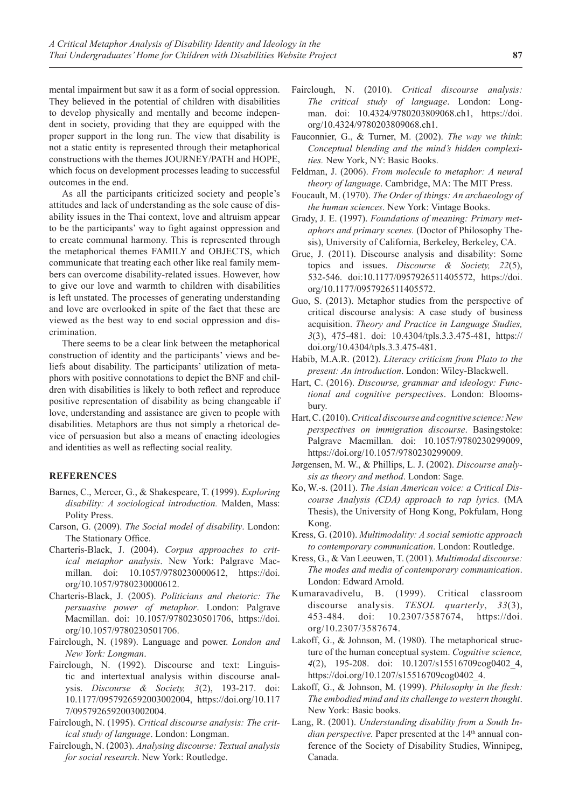mental impairment but saw it as a form of social oppression. They believed in the potential of children with disabilities to develop physically and mentally and become independent in society, providing that they are equipped with the proper support in the long run. The view that disability is not a static entity is represented through their metaphorical constructions with the themes JOURNEY/PATH and HOPE, which focus on development processes leading to successful outcomes in the end.

As all the participants criticized society and people's attitudes and lack of understanding as the sole cause of disability issues in the Thai context, love and altruism appear to be the participants' way to fight against oppression and to create communal harmony. This is represented through the metaphorical themes FAMILY and OBJECTS, which communicate that treating each other like real family members can overcome disability-related issues. However, how to give our love and warmth to children with disabilities is left unstated. The processes of generating understanding and love are overlooked in spite of the fact that these are viewed as the best way to end social oppression and discrimination.

There seems to be a clear link between the metaphorical construction of identity and the participants' views and beliefs about disability. The participants' utilization of metaphors with positive connotations to depict the BNF and children with disabilities is likely to both reflect and reproduce positive representation of disability as being changeable if love, understanding and assistance are given to people with disabilities. Metaphors are thus not simply a rhetorical device of persuasion but also a means of enacting ideologies and identities as well as reflecting social reality.

# **REFERENCES**

- Barnes, C., Mercer, G., & Shakespeare, T. (1999). *Exploring disability: A sociological introduction.* Malden, Mass: Polity Press.
- Carson, G. (2009). *The Social model of disability*. London: The Stationary Office.
- Charteris-Black, J. (2004). *Corpus approaches to critical metaphor analysis*. New York: Palgrave Macmillan. doi: 10.1057/9780230000612, https://doi. org/10.1057/9780230000612.
- Charteris-Black, J. (2005). *Politicians and rhetoric: The persuasive power of metaphor*. London: Palgrave Macmillan. doi: 10.1057/9780230501706, https://doi. org/10.1057/9780230501706.
- Fairclough, N. (1989). Language and power. *London and New York: Longman*.
- Fairclough, N. (1992). Discourse and text: Linguistic and intertextual analysis within discourse analysis. *Discourse & Society, 3*(2), 193-217. doi: 10.1177/0957926592003002004, https://doi.org/10.117 7/0957926592003002004.
- Fairclough, N. (1995). *Critical discourse analysis: The critical study of language*. London: Longman.
- Fairclough, N. (2003). *Analysing discourse: Textual analysis for social research*. New York: Routledge.
- Fairclough, N. (2010). *Critical discourse analysis: The critical study of language*. London: Longman. doi: 10.4324/9780203809068.ch1, https://doi. org/10.4324/9780203809068.ch1.
- Fauconnier, G., & Turner, M. (2002). *The way we think*: *Conceptual blending and the mind's hidden complexities.* New York, NY: Basic Books.
- Feldman, J. (2006). *From molecule to metaphor: A neural theory of language*. Cambridge, MA: The MIT Press.
- Foucault, M. (1970). *The Order of things: An archaeology of the human sciences*. New York: Vintage Books.
- Grady, J. E. (1997). *Foundations of meaning: Primary metaphors and primary scenes.* (Doctor of Philosophy Thesis), University of California, Berkeley, Berkeley, CA.
- Grue, J. (2011). Discourse analysis and disability: Some topics and issues. *Discourse & Society, 22*(5), 532-546. doi:10.1177/0957926511405572, https://doi. org/10.1177/0957926511405572.
- Guo, S. (2013). Metaphor studies from the perspective of critical discourse analysis: A case study of business acquisition. *Theory and Practice in Language Studies, 3*(3), 475-481. doi: 10.4304/tpls.3.3.475-481, https:// doi.org/10.4304/tpls.3.3.475-481.
- Habib, M.A.R. (2012). *Literacy criticism from Plato to the present: An introduction*. London: Wiley-Blackwell.
- Hart, C. (2016). *Discourse, grammar and ideology: Functional and cognitive perspectives*. London: Bloomsbury.
- Hart, C. (2010). *Critical discourse and cognitive science: New perspectives on immigration discourse*. Basingstoke: Palgrave Macmillan. doi: 10.1057/9780230299009, https://doi.org/10.1057/9780230299009.
- Jørgensen, M. W., & Phillips, L. J. (2002). *Discourse analysis as theory and method*. London: Sage.
- Ko, W.-s. (2011). *The Asian American voice: a Critical Discourse Analysis (CDA) approach to rap lyrics.* (MA Thesis), the University of Hong Kong, Pokfulam, Hong Kong.
- Kress, G. (2010). *Multimodality: A social semiotic approach to contemporary communication*. London: Routledge.
- Kress, G., & Van Leeuwen, T. (2001). *Multimodal discourse: The modes and media of contemporary communication*. London: Edward Arnold.
- Kumaravadivelu, B. (1999). Critical classroom discourse analysis. *TESOL quarterly*, *33*(3), 453-484. doi: 10.2307/3587674, https://doi. org/10.2307/3587674.
- Lakoff, G., & Johnson, M. (1980). The metaphorical structure of the human conceptual system. *Cognitive science, 4*(2), 195-208. doi: 10.1207/s15516709cog0402\_4, https://doi.org/10.1207/s15516709cog0402\_4.
- Lakoff, G., & Johnson, M. (1999). *Philosophy in the flesh: The embodied mind and its challenge to western thought*. New York: Basic books.
- Lang, R. (2001). *Understanding disability from a South Indian perspective.* Paper presented at the 14<sup>th</sup> annual conference of the Society of Disability Studies, Winnipeg, Canada.